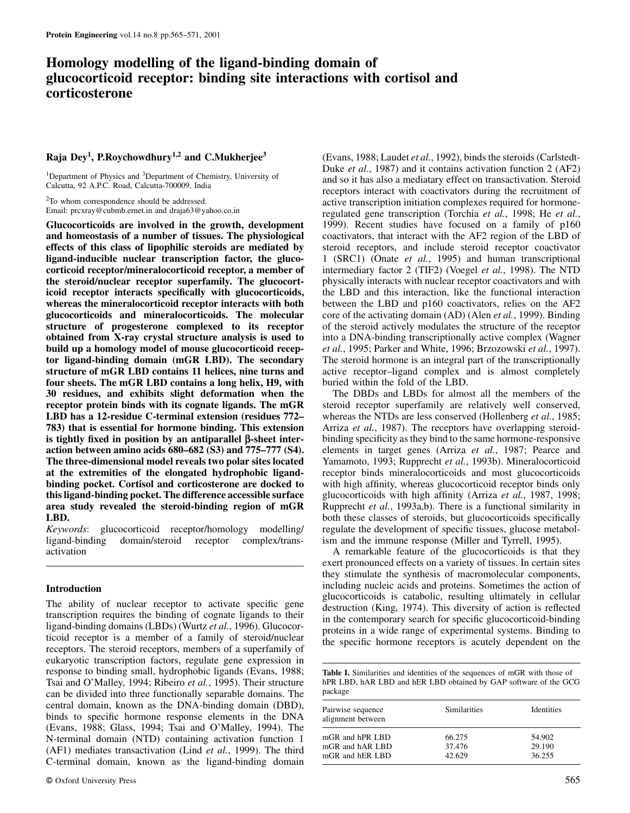# **Homology modelling of the ligand-binding domain of glucocorticoid receptor: binding site interactions with cortisol and corticosterone**

# **Raja Dey1, P.Roychowdhury1,2 and C.Mukherjee<sup>3</sup>**

<sup>1</sup>Department of Physics and <sup>3</sup>Department of Chemistry, University of Calcutta, 92 A.P.C. Road, Calcutta-700009, India

<sup>2</sup>To whom correspondence should be addressed. Email: prcxray@cubmb.ernet.in and draja63@yahoo.co.in

**Glucocorticoids are involved in the growth, development and homeostasis of a number of tissues. The physiological effects of this class of lipophilic steroids are mediated by ligand-inducible nuclear transcription factor, the glucocorticoid receptor/mineralocorticoid receptor, a member of the steroid/nuclear receptor superfamily. The glucocorticoid receptor interacts specifically with glucocorticoids, whereas the mineralocorticoid receptor interacts with both glucocorticoids and mineralocorticoids. The molecular structure of progesterone complexed to its receptor obtained from X-ray crystal structure analysis is used to build up a homology model of mouse glucocorticoid receptor ligand-binding domain (mGR LBD). The secondary structure of mGR LBD contains 11 helices, nine turns and four sheets. The mGR LBD contains a long helix, H9, with 30 residues, and exhibits slight deformation when the receptor protein binds with its cognate ligands. The mGR LBD has a 12-residue C-terminal extension (residues 772– 783) that is essential for hormone binding. This extension is tightly fixed in position by an antiparallel β-sheet interaction between amino acids 680–682 (S3) and 775–777 (S4). The three-dimensional model reveals two polar sites located at the extremities of the elongated hydrophobic ligandbinding pocket. Cortisol and corticosterone are docked to this ligand-binding pocket. The difference accessible surface area study revealed the steroid-binding region of mGR LBD.**

*Keywords*: glucocorticoid receptor/homology modelling/ ligand-binding domain/steroid receptor complex/transactivation

# **Introduction**

The ability of nuclear receptor to activate specific gene transcription requires the binding of cognate ligands to their ligand-binding domains (LBDs) (Wurtz *et al.*, 1996). Glucocorticoid receptor is a member of a family of steroid/nuclear receptors. The steroid receptors, members of a superfamily of eukaryotic transcription factors, regulate gene expression in response to binding small, hydrophobic ligands (Evans, 1988; Tsai and O'Malley, 1994; Ribeiro *et al.*, 1995). Their structure can be divided into three functionally separable domains. The central domain, known as the DNA-binding domain (DBD), binds to specific hormone response elements in the DNA (Evans, 1988; Glass, 1994; Tsai and O'Malley, 1994). The N-terminal domain (NTD) containing activation function 1 (AF1) mediates transactivation (Lind *et al.*, 1999). The third C-terminal domain, known as the ligand-binding domain

(Evans, 1988; Laudet *et al.*, 1992), binds the steroids (Carlstedt-Duke *et al.*, 1987) and it contains activation function 2 (AF2) and so it has also a mediatary effect on transactivation. Steroid receptors interact with coactivators during the recruitment of active transcription initiation complexes required for hormoneregulated gene transcription (Torchia *et al.*, 1998; He *et al.*, 1999). Recent studies have focused on a family of p160 coactivators, that interact with the AF2 region of the LBD of steroid receptors, and include steroid receptor coactivator 1 (SRC1) (Onate *et al.*, 1995) and human transcriptional intermediary factor 2 (TIF2) (Voegel *et al.*, 1998). The NTD physically interacts with nuclear receptor coactivators and with the LBD and this interaction, like the functional interaction between the LBD and p160 coactivators, relies on the AF2 core of the activating domain (AD) (Alen *et al.*, 1999). Binding of the steroid actively modulates the structure of the receptor into a DNA-binding transcriptionally active complex (Wagner *et al.*, 1995; Parker and White, 1996; Brzozowski *et al.*, 1997). The steroid hormone is an integral part of the transcriptionally active receptor–ligand complex and is almost completely buried within the fold of the LBD.

The DBDs and LBDs for almost all the members of the steroid receptor superfamily are relatively well conserved, whereas the NTDs are less conserved (Hollenberg *et al.*, 1985; Arriza *et al.*, 1987). The receptors have overlapping steroidbinding specificity as they bind to the same hormone-responsive elements in target genes (Arriza *et al.*, 1987; Pearce and Yamamoto, 1993; Rupprecht *et al.*, 1993b). Mineralocorticoid receptor binds mineralocorticoids and most glucocorticoids with high affinity, whereas glucocorticoid receptor binds only glucocorticoids with high affinity (Arriza *et al.*, 1987, 1998; Rupprecht *et al.*, 1993a,b). There is a functional similarity in both these classes of steroids, but glucocorticoids specifically regulate the development of specific tissues, glucose metabolism and the immune response (Miller and Tyrrell, 1995).

A remarkable feature of the glucocorticoids is that they exert pronounced effects on a variety of tissues. In certain sites they stimulate the synthesis of macromolecular components, including nucleic acids and proteins. Sometimes the action of glucocorticoids is catabolic, resulting ultimately in cellular destruction (King, 1974). This diversity of action is reflected in the contemporary search for specific glucocorticoid-binding proteins in a wide range of experimental systems. Binding to the specific hormone receptors is acutely dependent on the

**Table I.** Similarities and identities of the sequences of mGR with those of hPR LBD, hAR LBD and hER LBD obtained by GAP software of the GCG package

| Pairwise sequence<br>alignment between | <b>Similarities</b> | <b>Identities</b> |
|----------------------------------------|---------------------|-------------------|
| mGR and hPR LBD                        | 66.275              | 54.902            |
| mGR and hAR LBD                        | 37.476              | 29.190            |
| mGR and hER LBD                        | 42.629              | 36.255            |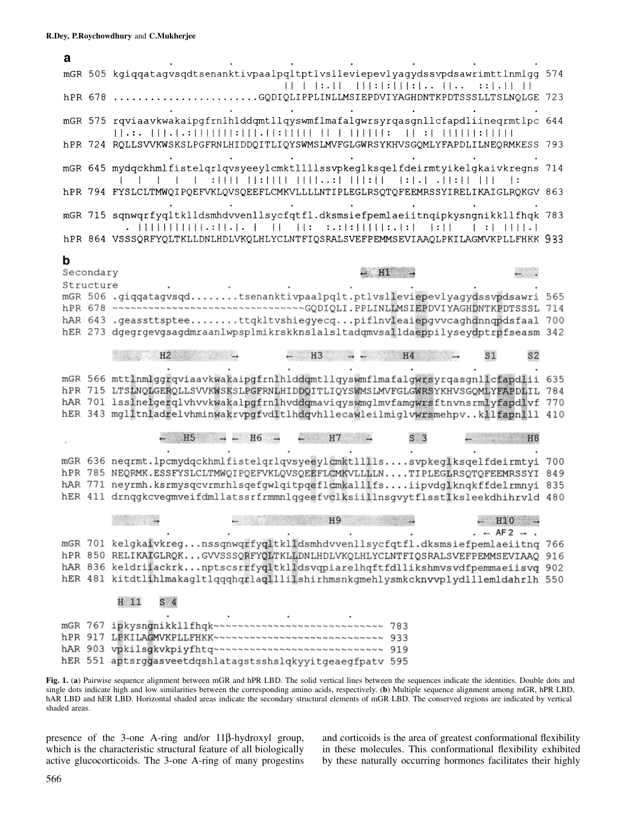| а |                        |                                                                                                                                                                                                                                                                                                                                                                                                                                                                                                                                                                         |     |
|---|------------------------|-------------------------------------------------------------------------------------------------------------------------------------------------------------------------------------------------------------------------------------------------------------------------------------------------------------------------------------------------------------------------------------------------------------------------------------------------------------------------------------------------------------------------------------------------------------------------|-----|
|   |                        | mGR 505 kgiqqatagvsqdtsenanktivpaalpqltptlvslleviepevlyagydssvpdsawrimttlnmlgg 574<br>: :   .   1   1                                                                                                                                                                                                                                                                                                                                                                                                                                                                   |     |
|   |                        | hPR 678<br>GQDIQLIPPLINLLMSIEPDVIYAGHDNTKPDTSSSLLTSLNQLGE 723                                                                                                                                                                                                                                                                                                                                                                                                                                                                                                           |     |
|   |                        | mGR 575 rqviaavkwakaipgfrnlhlddqmtllqyswmflmafalgwrsyrqasgnllcfapdliineqrmtlpc 644                                                                                                                                                                                                                                                                                                                                                                                                                                                                                      |     |
|   |                        | hPR 724 RQLLSVVKWSKSLPGFRNLHIDDQITLIQYSWMSLMVFGLGWRSYKHVSGQMLYFAPDLILNEQRMKESS 793                                                                                                                                                                                                                                                                                                                                                                                                                                                                                      |     |
|   |                        | mGR 645 mydqckhmlfistelqrlqvsyeeylcmktllllssvpkeglksqelfdeirmtyikelgkaivkregns 714<br>$\begin{minipage}{.4\linewidth} \begin{tabular}{l} \multicolumn{1}{c}{\textbf{1}} & \multicolumn{1}{c}{\textbf{1}} & \multicolumn{1}{c}{\textbf{1}} & \multicolumn{1}{c}{\textbf{1}} & \multicolumn{1}{c}{\textbf{1}} & \multicolumn{1}{c}{\textbf{1}} & \multicolumn{1}{c}{\textbf{1}} & \multicolumn{1}{c}{\textbf{1}} & \multicolumn{1}{c}{\textbf{1}} & \multicolumn{1}{c}{\textbf{1}} & \multicolumn{1}{c}{\textbf{1}} & \multicolumn{1}{c}{\textbf{1}} & \multicolumn{1}{c$ |     |
|   |                        | hPR 794 FYSLCLTMWQIPQEFVKLQVSQEEFLCMKVLLLLNTIPLEGLRSQTQFEEMRSSYIRELIKAIGLRQKGV 863                                                                                                                                                                                                                                                                                                                                                                                                                                                                                      |     |
|   |                        | mGR 715 sqnwqrfyqltklldsmhdvvenllsycfqtfl.dksmsiefpemlaeiitnqipkysngnikkllfhqk 783<br>$\vert \cdot \vert$<br>$  \cdot  $ $ $ $ $ $ $ $ $ $ $ $ $ $ $                                                                                                                                                                                                                                                                                                                                                                                                                    |     |
|   |                        | hPR 864 VSSSQRFYQLTKLLDNLHDLVKQLHLYCLNTFIQSRALSVEFPEMMSEVIAAQLPKILAGMVKPLLFHKK 933                                                                                                                                                                                                                                                                                                                                                                                                                                                                                      |     |
| b | Secondary<br>Structure | HI<br>mGR 506 .giqqatagvsqdtsenanktivpaalpqlt.ptlvslleviepevlyagydssvpdsawri 565                                                                                                                                                                                                                                                                                                                                                                                                                                                                                        |     |
|   |                        | hAR 643 .geassttspteettqkltvshiegyecqpiflnvleaiepgvvcaghdnnqpdsfaal 700<br>hER 273 dgegrgevgsagdmraanlwpsplmikrskknslalsltadqmvsalldaeppilyseydptrpfseasm 342                                                                                                                                                                                                                                                                                                                                                                                                           |     |
|   |                        | H2<br>S1<br>H <sub>3</sub><br>H4                                                                                                                                                                                                                                                                                                                                                                                                                                                                                                                                        |     |
|   |                        | mGR 566 mttlnmlggrqviaavkwakaipgfrnlhlddqmtllqyswmflmafalgwrsyrqasgnllcfapdlii 635<br>hPR 715 LTSLNQLGERQLLSVVKWSKSLPGFRNLHIDDQITLIQYSWMSLMVFGLGWRSYKHVSGQMLYFAPDLIL<br>hAR 701 lsslnelgerqlvhvvkwakalpgfrnlhvddqmaviqyswmglmvfamgwrsftnvnsrmlyfapdlvf 770<br>hER 343 mglltnladrelvhminwakrvpgfvdltlhdqvhllecawleilmiglvwrsmehpvkllfapnlll 410                                                                                                                                                                                                                          | 784 |
|   |                        | H <sub>5</sub><br>H7<br>H <sub>6</sub><br>H8                                                                                                                                                                                                                                                                                                                                                                                                                                                                                                                            |     |
|   |                        | mGR 636 neqrmt.lpcmydqckhmlfistelqrlqvsye@ylcmktlllissvpkegiksqelfdeirmtyi<br>hPR 785 NEQRMK.ESSFYSLCLTMWQIPQEFVKLQVSQEEFLCMKVLLLLLNTIPLEGERSQTQFEEMRSSYI 849<br>hAR 771 neyrmh.ksrmysqcvrmrhlsqefgwlqitpqeflcmkalllfsiipvdglknqkffdelrmnyi 835<br>hER 411 drnqgkcvegmveifdmllatssrfrmmnlqgeefvclksiillnsgvytflsstlksleekdhihrvld 480                                                                                                                                                                                                                                   | 700 |
|   |                        | H <sub>9</sub><br>H10<br>$-$ AF2 $\rightarrow$                                                                                                                                                                                                                                                                                                                                                                                                                                                                                                                          |     |
|   |                        | mGR 701 kelgkaivkregnssqnwqrfyqltklidsmhdvvenllsycfqtfl.dksmsiefpemlaeiitnq 766<br>hPR 850 RELIKAIGLRQKGVVSSSQRFYQLTKLLDNLHDLVKQLHLYCLNTFIQSRALSVEFPEMMSEVIAAQ 916<br>hAR 836 keldriiackrknptscsrrfyqitklidsvqpiarelhqftfdllikshmvsvdfpemmaeiisvq 902<br>hER 481 kitdtlihlmakagltlqqqhqrlaqlllilshirhmsnkgmehlysmkcknvvplydlllemldahrlh 550                                                                                                                                                                                                                             |     |
|   |                        | H 11<br>S <sub>4</sub>                                                                                                                                                                                                                                                                                                                                                                                                                                                                                                                                                  |     |
|   |                        | mGR 767 ipkysngnikkllfhqk~~~~~~~~~~~~~~~~~~~~~~~~~~~~~~~ 783<br>hPR 917 LEKILAGMVKPLLFHKK~~~~~~~~~~~~~~~~~~~~~~~~~~~~~~~~ 933<br>hAR 903 vpkilsgkvkpiyfhtq~~~~~~~~~~~~~~~~~~~~~~~~~~~~~ 919<br>hER 551 aptsrggasveetdqshlatagstsshslqkyyitgeaegfpatv 595                                                                                                                                                                                                                                                                                                                |     |

**Fig. 1.** (**a**) Pairwise sequence alignment between mGR and hPR LBD. The solid vertical lines between the sequences indicate the identities. Double dots and single dots indicate high and low similarities between the corresponding amino acids, respectively. (**b**) Multiple sequence alignment among mGR, hPR LBD, hAR LBD and hER LBD. Horizontal shaded areas indicate the secondary structural elements of mGR LBD. The conserved regions are indicated by vertical shaded areas.

presence of the 3-one A-ring and/or 11β-hydroxyl group, which is the characteristic structural feature of all biologically active glucocorticoids. The 3-one A-ring of many progestins and corticoids is the area of greatest conformational flexibility in these molecules. This conformational flexibility exhibited by these naturally occurring hormones facilitates their highly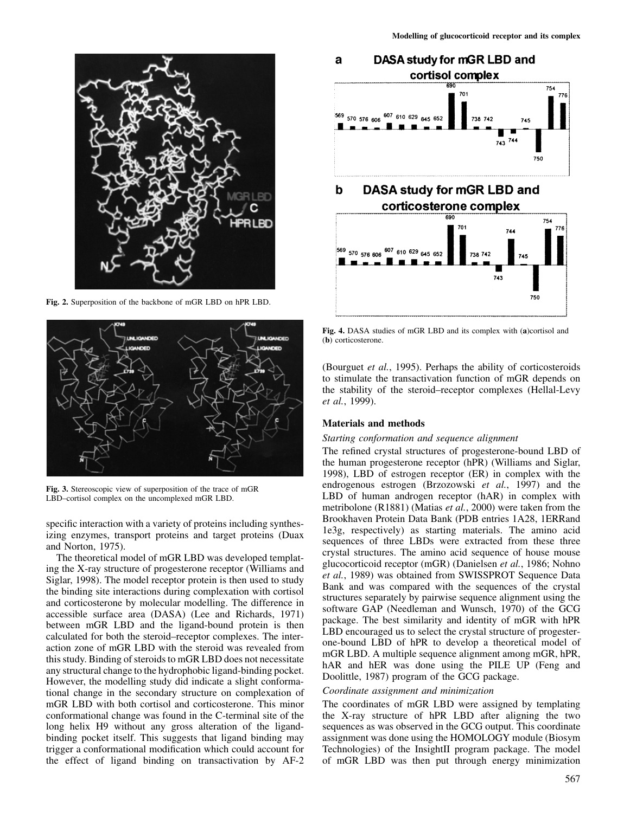

**Fig. 2.** Superposition of the backbone of mGR LBD on hPR LBD.



**Fig. 3.** Stereoscopic view of superposition of the trace of mGR LBD–cortisol complex on the uncomplexed mGR LBD.

specific interaction with a variety of proteins including synthesizing enzymes, transport proteins and target proteins (Duax and Norton, 1975).

The theoretical model of mGR LBD was developed templating the X-ray structure of progesterone receptor (Williams and Siglar, 1998). The model receptor protein is then used to study the binding site interactions during complexation with cortisol and corticosterone by molecular modelling. The difference in accessible surface area (DASA) (Lee and Richards, 1971) between mGR LBD and the ligand-bound protein is then calculated for both the steroid–receptor complexes. The interaction zone of mGR LBD with the steroid was revealed from this study. Binding of steroids to mGR LBD does not necessitate any structural change to the hydrophobic ligand-binding pocket. However, the modelling study did indicate a slight conformational change in the secondary structure on complexation of mGR LBD with both cortisol and corticosterone. This minor conformational change was found in the C-terminal site of the long helix H9 without any gross alteration of the ligandbinding pocket itself. This suggests that ligand binding may trigger a conformational modification which could account for the effect of ligand binding on transactivation by AF-2





**Fig. 4.** DASA studies of mGR LBD and its complex with (**a**)cortisol and (**b**) corticosterone.

(Bourguet *et al.*, 1995). Perhaps the ability of corticosteroids to stimulate the transactivation function of mGR depends on the stability of the steroid–receptor complexes (Hellal-Levy *et al.*, 1999).

## **Materials and methods**

#### *Starting conformation and sequence alignment*

The refined crystal structures of progesterone-bound LBD of the human progesterone receptor (hPR) (Williams and Siglar, 1998), LBD of estrogen receptor (ER) in complex with the endrogenous estrogen (Brzozowski *et al.*, 1997) and the LBD of human androgen receptor (hAR) in complex with metribolone (R1881) (Matias *et al.*, 2000) were taken from the Brookhaven Protein Data Bank (PDB entries 1A28, 1ERRand 1e3g, respectively) as starting materials. The amino acid sequences of three LBDs were extracted from these three crystal structures. The amino acid sequence of house mouse glucocorticoid receptor (mGR) (Danielsen *et al.*, 1986; Nohno *et al.*, 1989) was obtained from SWISSPROT Sequence Data Bank and was compared with the sequences of the crystal structures separately by pairwise sequence alignment using the software GAP (Needleman and Wunsch, 1970) of the GCG package. The best similarity and identity of mGR with hPR LBD encouraged us to select the crystal structure of progesterone-bound LBD of hPR to develop a theoretical model of mGR LBD. A multiple sequence alignment among mGR, hPR, hAR and hER was done using the PILE UP (Feng and Doolittle, 1987) program of the GCG package.

#### *Coordinate assignment and minimization*

The coordinates of mGR LBD were assigned by templating the X-ray structure of hPR LBD after aligning the two sequences as was observed in the GCG output. This coordinate assignment was done using the HOMOLOGY module (Biosym Technologies) of the InsightII program package. The model of mGR LBD was then put through energy minimization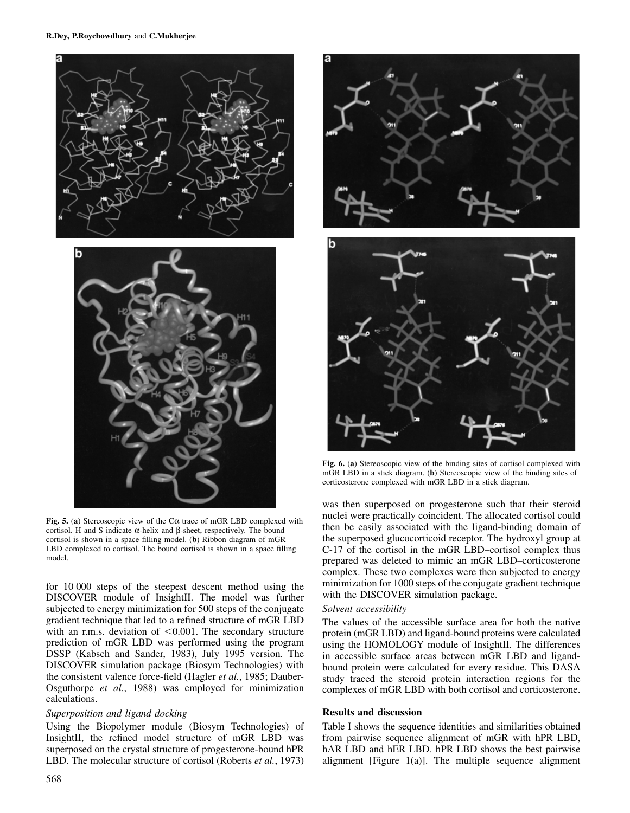

**Fig. 5.** (**a**) Stereoscopic view of the Cα trace of mGR LBD complexed with cortisol. H and S indicate α-helix and β-sheet, respectively. The bound cortisol is shown in a space filling model. (**b**) Ribbon diagram of mGR LBD complexed to cortisol. The bound cortisol is shown in a space filling model.

for 10 000 steps of the steepest descent method using the DISCOVER module of InsightII. The model was further subjected to energy minimization for 500 steps of the conjugate gradient technique that led to a refined structure of mGR LBD with an r.m.s. deviation of  $\leq 0.001$ . The secondary structure prediction of mGR LBD was performed using the program DSSP (Kabsch and Sander, 1983), July 1995 version. The DISCOVER simulation package (Biosym Technologies) with the consistent valence force-field (Hagler *et al.*, 1985; Dauber-Osguthorpe *et al.*, 1988) was employed for minimization calculations.

# *Superposition and ligand docking*

Using the Biopolymer module (Biosym Technologies) of InsightII, the refined model structure of mGR LBD was superposed on the crystal structure of progesterone-bound hPR LBD. The molecular structure of cortisol (Roberts *et al.*, 1973)



**Fig. 6.** (**a**) Stereoscopic view of the binding sites of cortisol complexed with mGR LBD in a stick diagram. (**b**) Stereoscopic view of the binding sites of corticosterone complexed with mGR LBD in a stick diagram.

was then superposed on progesterone such that their steroid nuclei were practically coincident. The allocated cortisol could then be easily associated with the ligand-binding domain of the superposed glucocorticoid receptor. The hydroxyl group at C-17 of the cortisol in the mGR LBD–cortisol complex thus prepared was deleted to mimic an mGR LBD–corticosterone complex. These two complexes were then subjected to energy minimization for 1000 steps of the conjugate gradient technique with the DISCOVER simulation package.

## *Solvent accessibility*

The values of the accessible surface area for both the native protein (mGR LBD) and ligand-bound proteins were calculated using the HOMOLOGY module of InsightII. The differences in accessible surface areas between mGR LBD and ligandbound protein were calculated for every residue. This DASA study traced the steroid protein interaction regions for the complexes of mGR LBD with both cortisol and corticosterone.

## **Results and discussion**

Table I shows the sequence identities and similarities obtained from pairwise sequence alignment of mGR with hPR LBD, hAR LBD and hER LBD. hPR LBD shows the best pairwise alignment [Figure 1(a)]. The multiple sequence alignment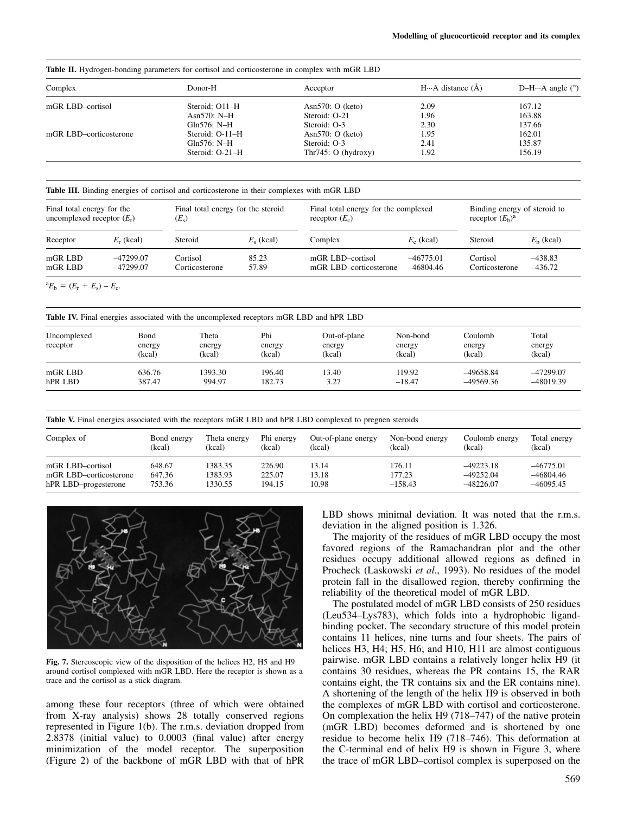**Table II.** Hydrogen-bonding parameters for cortisol and corticosterone in complex with mGR LBD

| Complex                | Donor-H         | Acceptor               | $H \cdots A$ distance $(\AA)$ | D-H $\cdots$ A angle ( $\degree$ ) |
|------------------------|-----------------|------------------------|-------------------------------|------------------------------------|
| mGR LBD-cortisol       | Steroid: O11–H  | Asn $570:$ O (keto)    | 2.09                          | 167.12                             |
|                        | Asn $570: N-H$  | Steroid: O-21          | 1.96                          | 163.88                             |
|                        | Gln $576: N-H$  | Steroid: O-3           | 2.30                          | 137.66                             |
| mGR LBD-corticosterone | Steroid: O-11–H | Asn $570:$ O (keto)    | 1.95                          | 162.01                             |
|                        | $Gln576$ : N-H  | Steroid: O-3           | 2.41                          | 135.87                             |
|                        | Steroid: O-21-H | Thr $745:$ O (hydroxy) | 1.92                          | 156.19                             |

**Table III.** Binding energies of cortisol and corticosterone in their complexes with mGR LBD

| Final total energy for the   |              | Final total energy for the steroid |                    | Final total energy for the complexed |              | Binding energy of steroid to |             |
|------------------------------|--------------|------------------------------------|--------------------|--------------------------------------|--------------|------------------------------|-------------|
| uncomplexed receptor $(E_r)$ |              | $(E_{s})$                          |                    | receptor $(E_c)$                     |              | receptor $(E_h)^a$           |             |
| Receptor                     | $E_r$ (kcal) | Steroid                            | $E_{\rm c}$ (kcal) | Complex                              | $E_c$ (kcal) | Steroid                      | $Eb$ (kcal) |
| mGR LBD                      | $-47299.07$  | Cortisol                           | 85.23              | mGR LBD-cortisol                     | $-46775.01$  | Cortisol                     | $-438.83$   |
| mGR LBD                      | $-47299.07$  | Corticosterone                     | 57.89              | mGR LBD-corticosterone               | $-46804.46$  | Corticosterone               | $-436.72$   |

 ${}^aE_b = (E_r + E_s) - E_c.$ 

**Table IV.** Final energies associated with the uncomplexed receptors mGR LBD and hPR LBD

| Uncomplexed<br>receptor | Bond<br>energy<br>(kcal) | Theta<br>energy<br>(kcal) | Phi<br>energy<br>(kcal) | Out-of-plane<br>energy<br>(kcal) | Non-bond<br>energy<br>(kcal) | Coulomb<br>energy<br>(kcal) | Total<br>energy<br>(kcal) |
|-------------------------|--------------------------|---------------------------|-------------------------|----------------------------------|------------------------------|-----------------------------|---------------------------|
| mGR LBD                 | 636.76                   | 1393.30                   | 196.40                  | 13.40                            | 119.92                       | $-49658.84$                 | $-47299.07$               |
| hPR LBD                 | 387.47                   | 994.97                    | 182.73                  | 3.27                             | $-18.47$                     | -49569.36                   | -48019.39                 |

Table V. Final energies associated with the receptors mGR LBD and hPR LBD complexed to pregnen steroids

| Complex of             | Bond energy | Theta energy | Phi energy | Out-of-plane energy | Non-bond energy | Coulomb energy | Total energy |
|------------------------|-------------|--------------|------------|---------------------|-----------------|----------------|--------------|
|                        | (kcal)      | (kcal)       | (kcal)     | (kcal)              | (kcal)          | (kcal)         | (kcal)       |
| mGR LBD-cortisol       | 648.67      | 1383.35      | 226.90     | 13.14               | 176.11          | $-49223.18$    | $-46775.01$  |
| mGR LBD-corticosterone | 647.36      | 1383.93      | 225.07     | 13.18               | 177.23          | $-49252.04$    | $-46804.46$  |
| hPR LBD-progesterone   | 753.36      | 1330.55      | 194.15     | 10.98               | $-158.43$       | $-48226.07$    | $-46095.45$  |



**Fig. 7.** Stereoscopic view of the disposition of the helices H2, H5 and H9 around cortisol complexed with mGR LBD. Here the receptor is shown as a trace and the cortisol as a stick diagram.

among these four receptors (three of which were obtained from X-ray analysis) shows 28 totally conserved regions represented in Figure 1(b). The r.m.s. deviation dropped from 2.8378 (initial value) to 0.0003 (final value) after energy minimization of the model receptor. The superposition (Figure 2) of the backbone of mGR LBD with that of hPR LBD shows minimal deviation. It was noted that the r.m.s. deviation in the aligned position is 1.326.

The majority of the residues of mGR LBD occupy the most favored regions of the Ramachandran plot and the other residues occupy additional allowed regions as defined in Procheck (Laskowski *et al.*, 1993). No residues of the model protein fall in the disallowed region, thereby confirming the reliability of the theoretical model of mGR LBD.

The postulated model of mGR LBD consists of 250 residues (Leu534–Lys783), which folds into a hydrophobic ligandbinding pocket. The secondary structure of this model protein contains 11 helices, nine turns and four sheets. The pairs of helices H3, H4; H5, H6; and H10, H11 are almost contiguous pairwise. mGR LBD contains a relatively longer helix H9 (it contains 30 residues, whereas the PR contains 15, the RAR contains eight, the TR contains six and the ER contains nine). A shortening of the length of the helix H9 is observed in both the complexes of mGR LBD with cortisol and corticosterone. On complexation the helix H9 (718–747) of the native protein (mGR LBD) becomes deformed and is shortened by one residue to become helix H9 (718–746). This deformation at the C-terminal end of helix H9 is shown in Figure 3, where the trace of mGR LBD–cortisol complex is superposed on the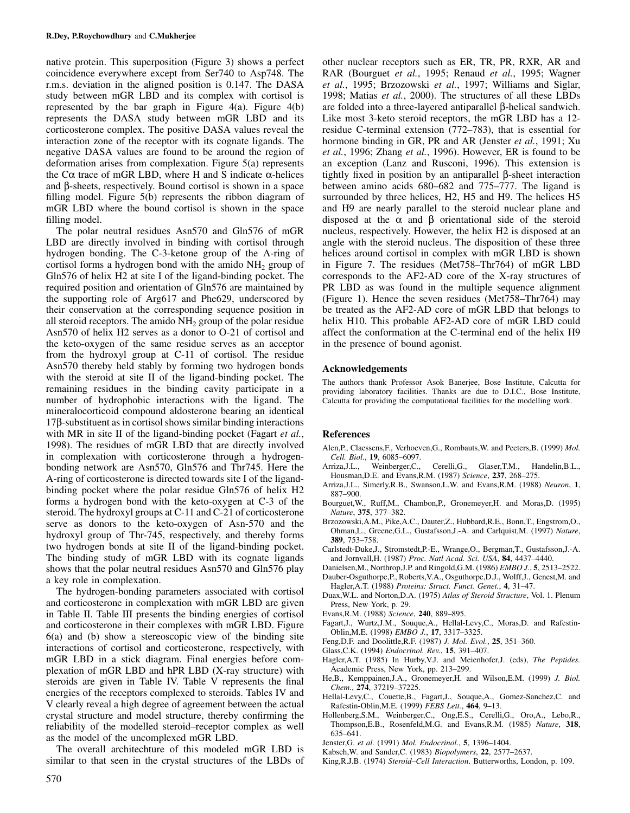native protein. This superposition (Figure 3) shows a perfect coincidence everywhere except from Ser740 to Asp748. The r.m.s. deviation in the aligned position is 0.147. The DASA study between mGR LBD and its complex with cortisol is represented by the bar graph in Figure  $4(a)$ . Figure  $4(b)$ represents the DASA study between mGR LBD and its corticosterone complex. The positive DASA values reveal the interaction zone of the receptor with its cognate ligands. The negative DASA values are found to be around the region of deformation arises from complexation. Figure 5(a) represents the Cα trace of mGR LBD, where H and S indicate α-helices and β-sheets, respectively. Bound cortisol is shown in a space filling model. Figure 5(b) represents the ribbon diagram of mGR LBD where the bound cortisol is shown in the space filling model.

The polar neutral residues Asn570 and Gln576 of mGR LBD are directly involved in binding with cortisol through hydrogen bonding. The C-3-ketone group of the A-ring of cortisol forms a hydrogen bond with the amido  $NH<sub>2</sub>$  group of Gln576 of helix H2 at site I of the ligand-binding pocket. The required position and orientation of Gln576 are maintained by the supporting role of Arg617 and Phe629, underscored by their conservation at the corresponding sequence position in all steroid receptors. The amido  $NH<sub>2</sub>$  group of the polar residue Asn570 of helix H2 serves as a donor to O-21 of cortisol and the keto-oxygen of the same residue serves as an acceptor from the hydroxyl group at C-11 of cortisol. The residue Asn570 thereby held stably by forming two hydrogen bonds with the steroid at site II of the ligand-binding pocket. The remaining residues in the binding cavity participate in a number of hydrophobic interactions with the ligand. The mineralocorticoid compound aldosterone bearing an identical 17β-substituent as in cortisol shows similar binding interactions with MR in site II of the ligand-binding pocket (Fagart *et al.*, 1998). The residues of mGR LBD that are directly involved in complexation with corticosterone through a hydrogenbonding network are Asn570, Gln576 and Thr745. Here the A-ring of corticosterone is directed towards site I of the ligandbinding pocket where the polar residue Gln576 of helix H2 forms a hydrogen bond with the keto-oxygen at C-3 of the steroid. The hydroxyl groups at C-11 and C-21 of corticosterone serve as donors to the keto-oxygen of Asn-570 and the hydroxyl group of Thr-745, respectively, and thereby forms two hydrogen bonds at site II of the ligand-binding pocket. The binding study of mGR LBD with its cognate ligands shows that the polar neutral residues Asn570 and Gln576 play a key role in complexation.

The hydrogen-bonding parameters associated with cortisol and corticosterone in complexation with mGR LBD are given in Table II. Table III presents the binding energies of cortisol and corticosterone in their complexes with mGR LBD. Figure 6(a) and (b) show a stereoscopic view of the binding site interactions of cortisol and corticosterone, respectively, with mGR LBD in a stick diagram. Final energies before complexation of mGR LBD and hPR LBD (X-ray structure) with steroids are given in Table IV. Table V represents the final energies of the receptors complexed to steroids. Tables IV and V clearly reveal a high degree of agreement between the actual crystal structure and model structure, thereby confirming the reliability of the modelled steroid–receptor complex as well as the model of the uncomplexed mGR LBD.

The overall architechture of this modeled mGR LBD is similar to that seen in the crystal structures of the LBDs of other nuclear receptors such as ER, TR, PR, RXR, AR and RAR (Bourguet *et al.*, 1995; Renaud *et al.*, 1995; Wagner *et al.*, 1995; Brzozowski *et al.*, 1997; Williams and Siglar, 1998; Matias *et al.*, 2000). The structures of all these LBDs are folded into a three-layered antiparallel β-helical sandwich. Like most 3-keto steroid receptors, the mGR LBD has a 12 residue C-terminal extension (772–783), that is essential for hormone binding in GR, PR and AR (Jenster *et al.*, 1991; Xu *et al.*, 1996; Zhang *et al.*, 1996). However, ER is found to be an exception (Lanz and Rusconi, 1996). This extension is tightly fixed in position by an antiparallel β-sheet interaction between amino acids 680–682 and 775–777. The ligand is surrounded by three helices, H2, H5 and H9. The helices H5 and H9 are nearly parallel to the steroid nuclear plane and disposed at the  $\alpha$  and  $\beta$  orientational side of the steroid nucleus, respectively. However, the helix H2 is disposed at an angle with the steroid nucleus. The disposition of these three helices around cortisol in complex with mGR LBD is shown in Figure 7. The residues (Met758–Thr764) of mGR LBD corresponds to the AF2-AD core of the X-ray structures of PR LBD as was found in the multiple sequence alignment (Figure 1). Hence the seven residues (Met758–Thr764) may be treated as the AF2-AD core of mGR LBD that belongs to helix H10. This probable AF2-AD core of mGR LBD could affect the conformation at the C-terminal end of the helix H9 in the presence of bound agonist.

#### **Acknowledgements**

The authors thank Professor Asok Banerjee, Bose Institute, Calcutta for providing laboratory facilities. Thanks are due to D.I.C., Bose Institute, Calcutta for providing the computational facilities for the modelling work.

#### **References**

- Alen,P., Claessens,F., Verhoeven,G., Rombauts,W. and Peeters,B. (1999) *Mol. Cell. Biol.*, **19**, 6085–6097.
- Weinberger,C., Cerelli,G., Glaser,T.M., Handelin,B.L., Housman,D.E. and Evans,R.M. (1987) *Science*, **237**, 268–275.
- Arriza,J.L., Simerly,R.B., Swanson,L.W. and Evans,R.M. (1988) *Neuron*, **1**, 887–900.
- Bourguet,W., Ruff,M., Chambon,P., Gronemeyer,H. and Moras,D. (1995) *Nature*, **375**, 377–382.
- Brzozowski,A.M., Pike,A.C., Dauter,Z., Hubbard,R.E., Bonn,T., Engstrom,O., Ohman,L., Greene,G.L., Gustafsson,J.-A. and Carlquist,M. (1997) *Nature*, **389**, 753–758.
- Carlstedt-Duke,J., Stromstedt,P.-E., Wrange,O., Bergman,T., Gustafsson,J.-A. and Jornvall,H. (1987) *Proc. Natl Acad. Sci. USA*, **84**, 4437–4440.
- Danielsen,M., Northrop,J.P. and Ringold,G.M. (1986) *EMBO J.*, **5**, 2513–2522.
- Dauber-Osguthorpe,P., Roberts,V.A., Osguthorpe,D.J., Wolff,J., Genest,M. and Hagler,A.T. (1988) *Proteins: Struct. Funct. Genet.*, **4**, 31–47.
- Duax,W.L. and Norton,D.A. (1975) *Atlas of Steroid Structure*, Vol. 1. Plenum Press, New York, p. 29.
- Evans,R.M. (1988) *Science*, **240**, 889–895.
- Fagart,J., Wurtz,J.M., Souque,A., Hellal-Levy,C., Moras,D. and Rafestin-Oblin,M.E. (1998) *EMBO J.*, **17**, 3317–3325.
- Feng,D.F. and Doolittle,R.F. (1987) *J. Mol. Evol.*, **25**, 351–360.
- Glass,C.K. (1994) *Endocrinol. Rev.*, **15**, 391–407.
- Hagler,A.T. (1985) In Hurby,V.J. and Meienhofer,J. (eds), *The Peptides.* Academic Press, New York, pp. 213–299.
- He,B., Kemppainen,J.A., Gronemeyer,H. and Wilson,E.M. (1999) *J. Biol. Chem.*, **274**, 37219–37225.
- Hellal-Levy,C., Couette,B., Fagart,J., Souque,A., Gomez-Sanchez,C. and Rafestin-Oblin,M.E. (1999) *FEBS Lett.*, **464**, 9–13.
- Hollenberg,S.M., Weinberger,C., Ong,E.S., Cerelli,G., Oro,A., Lebo,R., Thompson,E.B., Rosenfeld,M.G. and Evans,R.M. (1985) *Nature*, **318**, 635–641.
- Jenster,G. *et al.* (1991) *Mol. Endocrinol.*, **5**, 1396–1404.
- Kabsch,W. and Sander,C. (1983) *Biopolymers*, **22**, 2577–2637.
- King,R.J.B. (1974) *Steroid–Cell Interaction*. Butterworths, London, p. 109.